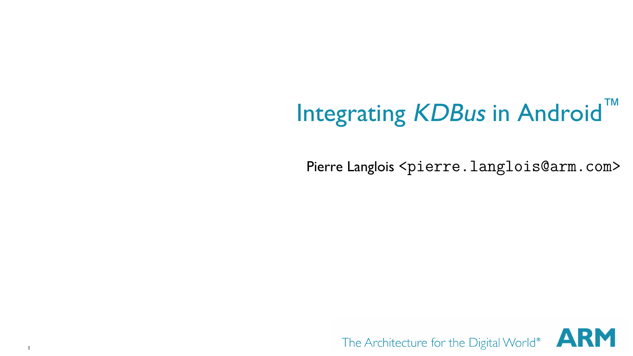# Integrating KDBus in Android™

Pierre Langlois <pierre.langlois@arm.com>

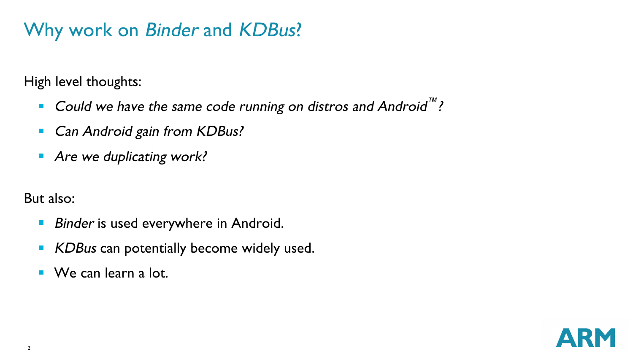# Why work on Binder and KDBus?

High level thoughts:

- Could we have the same code running on distros and Android ™ ?  $\blacksquare$
- Can Android gain from KDBus?  $\blacksquare$
- Are we duplicating work?

But also:

- Binder is used everywhere in Android.  $\blacksquare$
- KDBus can potentially become widely used.  $\blacksquare$
- We can learn a lot.

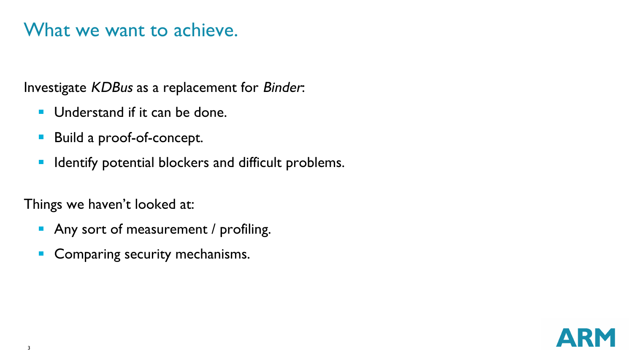#### What we want to achieve.

Investigate KDBus as a replacement for Binder:

- Understand if it can be done.
- Build a proof-of-concept.  $\blacksquare$
- Identify potential blockers and difficult problems.  $\blacksquare$

Things we haven't looked at:

- Any sort of measurement / profiling.
- Comparing security mechanisms.  $\blacksquare$

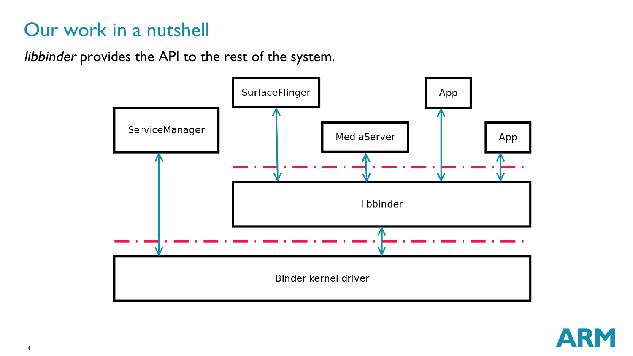# Our work in a nutshell

libbinder provides the API to the rest of the system.



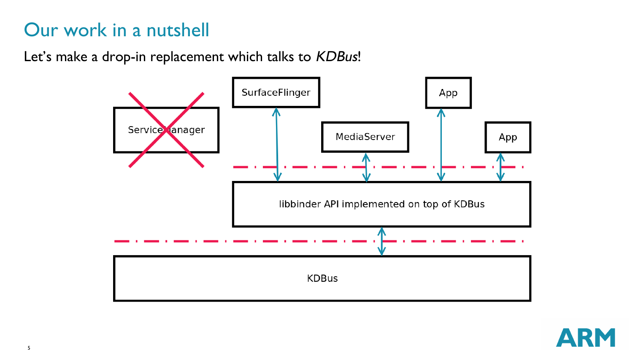# Our work in a nutshell

Let's make a drop-in replacement which talks to KDBus!



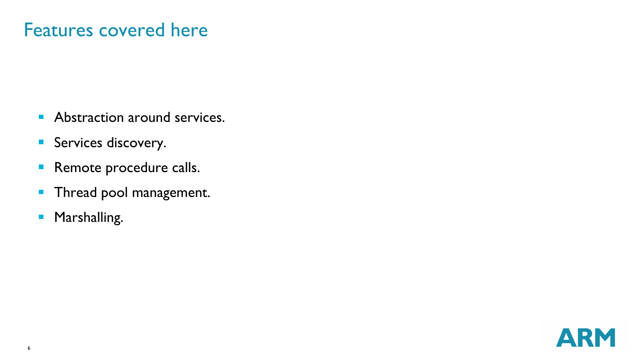### Features covered here

- Abstraction around services.
- Services discovery.
- **Remote procedure calls.**
- **Thread pool management.**
- **Marshalling.**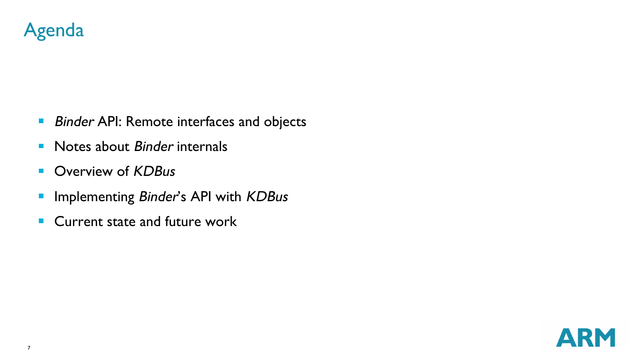

- **Binder API: Remote interfaces and objects**
- Notes about Binder internals
- Overview of KDBus  $\mathbf{H}^{\mathrm{c}}$
- Implementing Binder's API with KDBus  $\blacksquare$
- Current state and future work

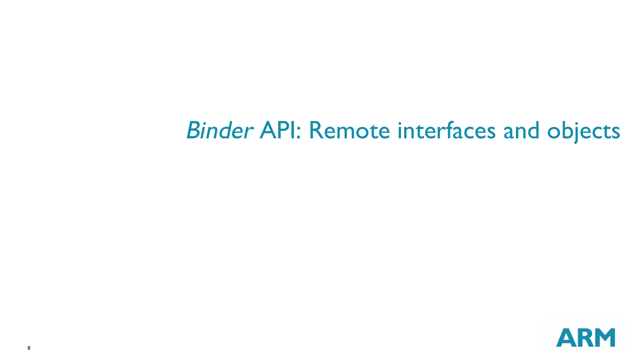# Binder API: Remote interfaces and objects

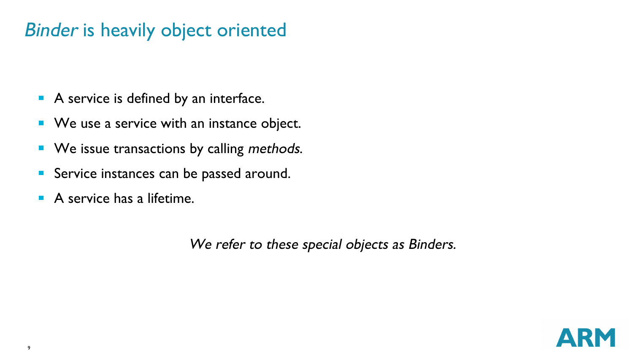#### Binder is heavily object oriented

- A service is defined by an interface.
- We use a service with an instance object.
- We issue transactions by calling methods.  $\blacksquare$
- Service instances can be passed around.  $\blacksquare$
- п A service has a lifetime.

We refer to these special objects as Binders.

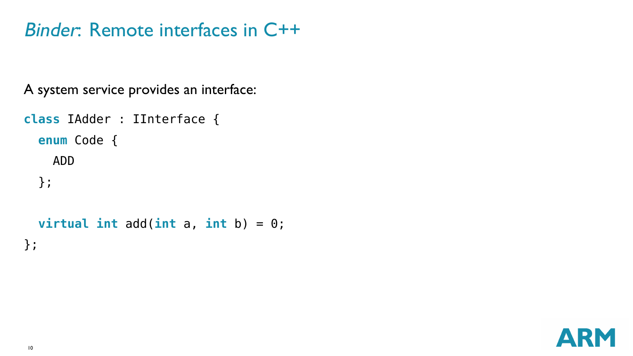### Binder: Remote interfaces in C++

A system service provides an interface:

```
class IAdder : IInterface {
  enum Code {
    ADD
  };
```

```
virtual int add(int a, int b) = 0;
};
```
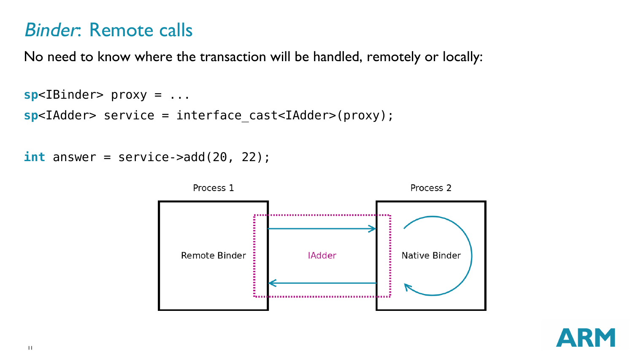#### Binder: Remote calls

No need to know where the transaction will be handled, remotely or locally:

```
sp<IBinder> proxy = ...
sp<IAdder> service = interface_cast<IAdder>(proxy);
```

```
int answer = service -<br>add(20, 22);
```


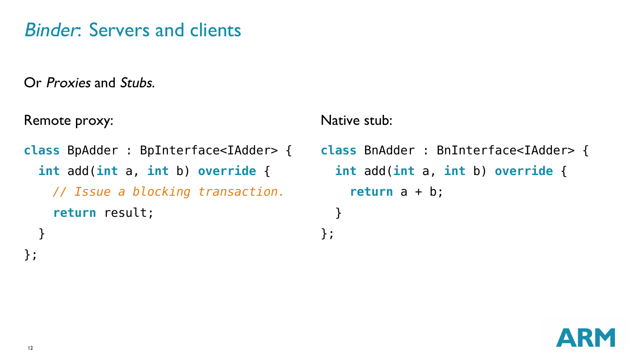# Binder: Servers and clients

Or Proxies and Stubs.

Remote proxy:

```
class BpAdder : BpInterface<IAdder> {
  int add(int a, int b) override {
   // Issue a blocking transaction.
    return result;
  }
```
Native stub:

};

**class** BnAdder : BnInterface<IAdder> { **int** add(**int** a, **int** b) **override** { **return** a + b; }



};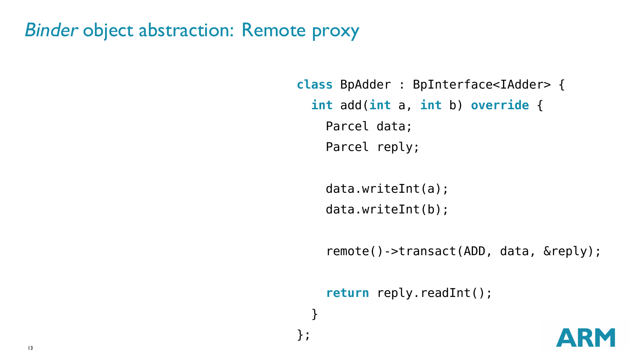```
class BpAdder : BpInterface<IAdder> {
  int add(int a, int b) override {
    Parcel data;
    Parcel reply;
```

```
data.writeInt(a);
data.writeInt(b);
```
} };

remote()->transact(ADD, data, &reply);

```
return reply.readInt();
```
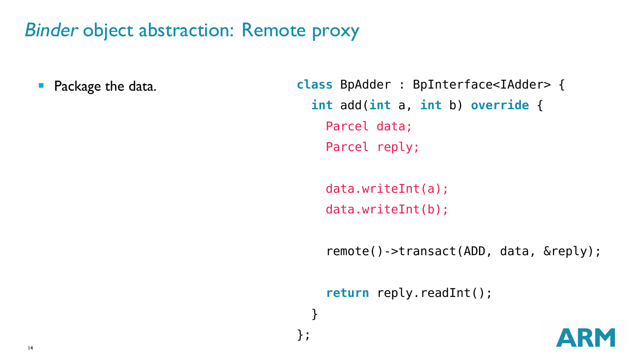$\blacksquare$ Package the data. **class** BpAdder : BpInterface<IAdder> { **int** add(**int** a, **int** b) **override** { Parcel data; Parcel reply;

> data.writeInt(a); data.writeInt(b);

} };

remote()->transact(ADD, data, &reply);

**return** reply.readInt();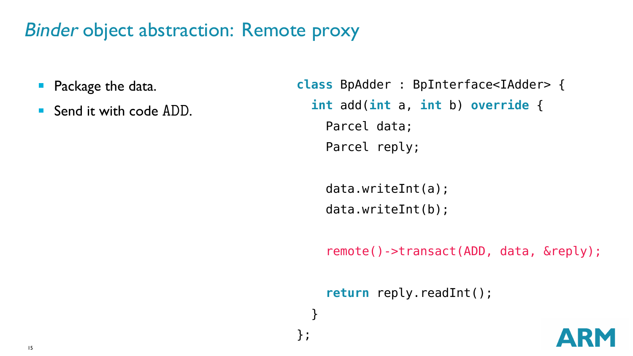- $\blacksquare$ Package the data.
- Send it with code ADD.

```
class BpAdder : BpInterface<IAdder> {
 int add(int a, int b) override {
   Parcel data;
   Parcel reply;
```
data.writeInt(a); data.writeInt(b);

} };

remote()->transact(ADD, data, &reply);

**return** reply.readInt();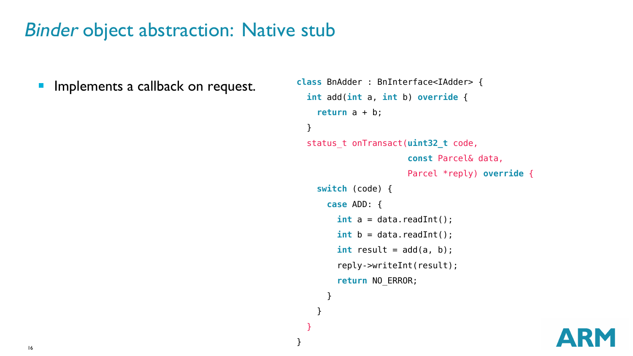$\overline{\phantom{a}}$ Implements a callback on request.

```
class BnAdder : BnInterface<IAdder> {
  int add(int a, int b) override {
    return a + b;
  }
  status_t onTransact(uint32_t code,
                      const Parcel& data,
                      Parcel *reply) override {
    switch (code) {
      case ADD: {
        int a = data.readInt():
        int b = data.readInt():
        int result = add(a, b);
        reply->writeInt(result);
        return NO_ERROR;
      }
    }
```
} }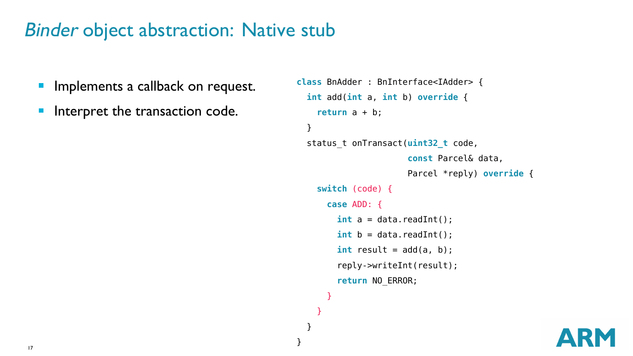- $\overline{\phantom{a}}$ Implements a callback on request.
- Interpret the transaction code.  $\blacksquare$

```
class BnAdder : BnInterface<IAdder> {
 int add(int a, int b) override {
   return a + b;
 }
 status_t onTransact(uint32_t code,
                      const Parcel& data,
                      Parcel *reply) override {
    switch (code) {
      case ADD: {
        int a = data.readInt():
        int b = data.readInt():
        int result = add(a, b):
        reply->writeInt(result);
        return NO_ERROR;
      }
```
} } }

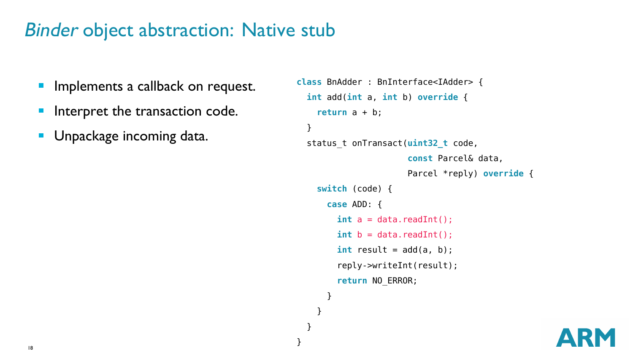- $\overline{\phantom{a}}$ Implements a callback on request.
- Interpret the transaction code.  $\overline{\phantom{a}}$
- **Unpackage incoming data.**

```
class BnAdder : BnInterface<IAdder> {
 int add(int a, int b) override {
   return a + b;
 }
 status_t onTransact(uint32_t code,
                      const Parcel& data,
                      Parcel *reply) override {
    switch (code) {
      case ADD: {
        int a = data.readInt():
        int b = data.readInt():
        int result = add(a, b):
        reply->writeInt(result);
        return NO_ERROR;
      }
    }
  }
```
}

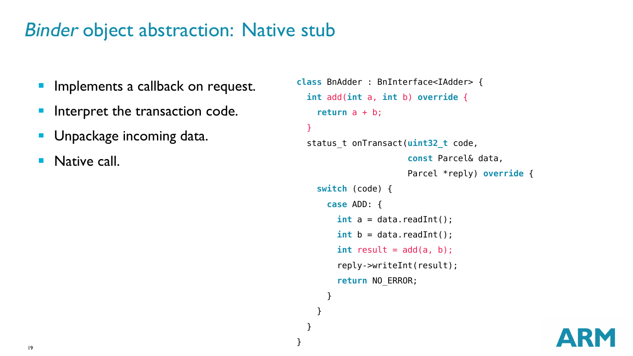- $\overline{\phantom{a}}$ Implements a callback on request.
- Interpret the transaction code.  $\mathcal{L}_{\mathcal{A}}$
- **Unpackage incoming data.**
- × Native call.

```
class BnAdder : BnInterface<IAdder> {
 int add(int a, int b) override {
   return a + b;
 }
 status_t onTransact(uint32_t code,
                      const Parcel& data,
                      Parcel *reply) override {
    switch (code) {
      case ADD: {
        int a = data.readInt():
        int b = data.readInt():
        int result = add(a, b):
        reply->writeInt(result);
        return NO_ERROR;
      }
    }
```
} }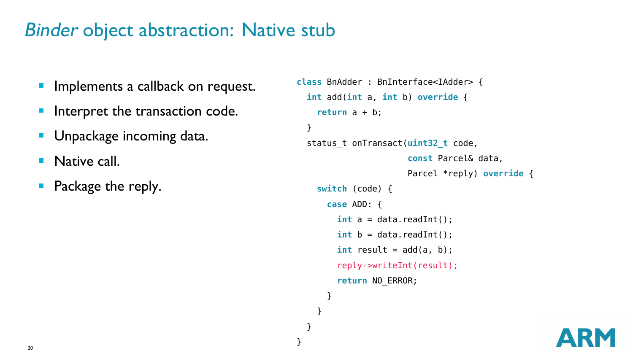- $\overline{\phantom{a}}$ Implements a callback on request.
- Interpret the transaction code.  $\mathcal{L}_{\mathcal{A}}$
- **Unpackage incoming data.**
- m. Native call.
- Package the reply.  $\blacksquare$

```
class BnAdder : BnInterface<IAdder> {
 int add(int a, int b) override {
    return a + b;
 }
 status_t onTransact(uint32_t code,
                      const Parcel& data,
                      Parcel *reply) override {
    switch (code) {
      case ADD: {
        int a = data.readInt():
        int b = data.readInt():
        int result = add(a, b):
        reply->writeInt(result);
        return NO_ERROR;
      }
    }
```
} }

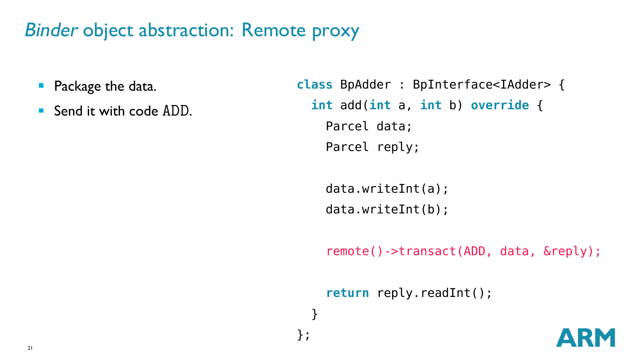- $\blacksquare$ Package the data.
- Send it with code ADD.

```
class BpAdder : BpInterface<IAdder> {
 int add(int a, int b) override {
   Parcel data;
   Parcel reply;
```
data.writeInt(a); data.writeInt(b);

} };

remote()->transact(ADD, data, &reply);

**return** reply.readInt();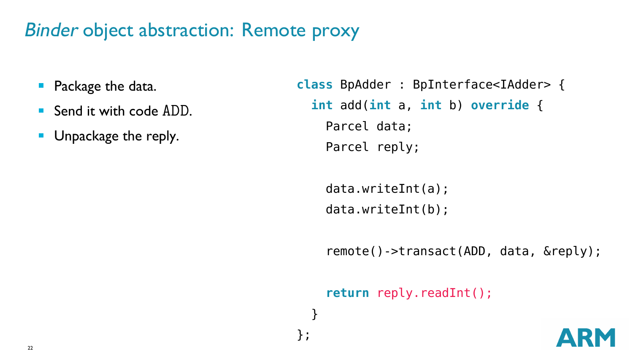- $\blacksquare$ Package the data.
- Send it with code ADD.
- **Unpackage the reply.**

```
class BpAdder : BpInterface<IAdder> {
 int add(int a, int b) override {
   Parcel data;
   Parcel reply;
```
data.writeInt(a); data.writeInt(b);

} };

remote()->transact(ADD, data, &reply);

**return** reply.readInt();

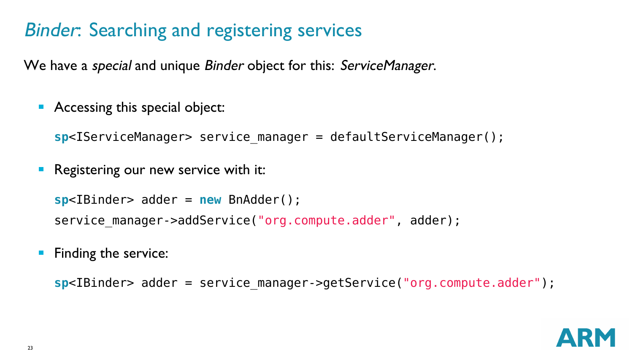# Binder: Searching and registering services

We have a *special* and unique *Binder* object for this: ServiceManager.

**Accessing this special object:** 

```
sp<IServiceManager> service_manager = defaultServiceManager();
```
Registering our new service with it:

```
sp<IBinder> adder = new BnAdder();
service manager->addService("org.compute.adder", adder);
```
**Finding the service:** 

sp<IBinder> adder = service manager->getService("org.compute.adder");

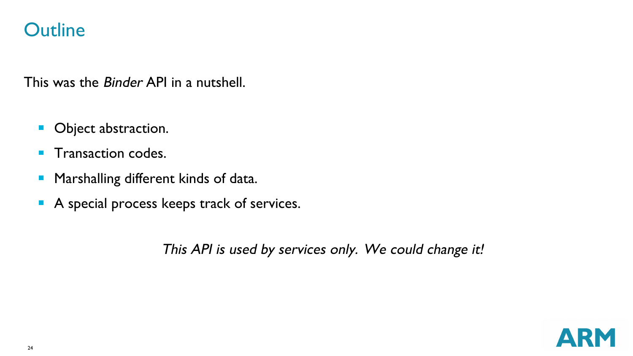#### **Outline**

This was the *Binder* API in a nutshell.

- $\mathbf{m}$ Object abstraction.
- Transaction codes. m.
- Marshalling different kinds of data.  $\blacksquare$
- A special process keeps track of services.

This API is used by services only. We could change it!

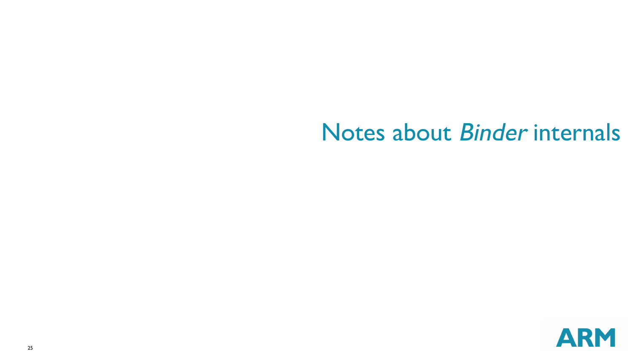# Notes about Binder internals

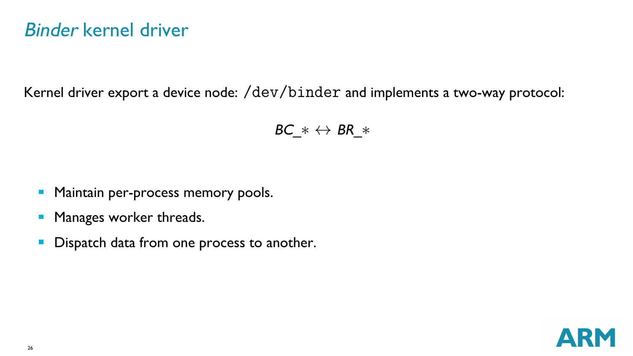#### Binder kernel driver

Kernel driver export a device node: /dev/binder and implements a two-way protocol:

$$
BC_* \leftrightarrow BR_*
$$

- **Maintain per-process memory pools.**
- Manages worker threads.  $\blacksquare$
- Dispatch data from one process to another.  $\blacksquare$

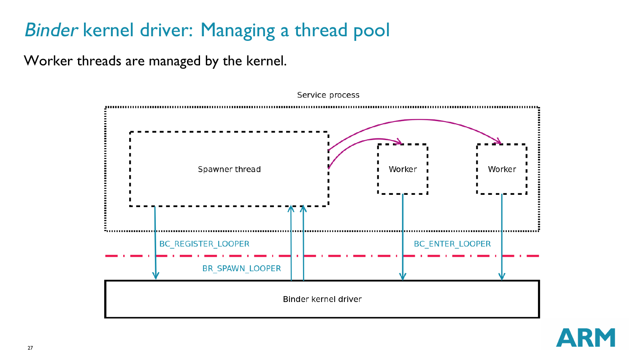# Binder kernel driver: Managing a thread pool

Worker threads are managed by the kernel.

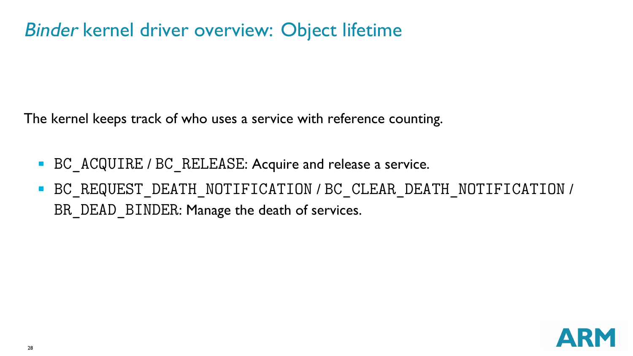### Binder kernel driver overview: Object lifetime

The kernel keeps track of who uses a service with reference counting.

- **BC** ACQUIRE / BC RELEASE: Acquire and release a service.
- BC REQUEST DEATH NOTIFICATION / BC CLEAR DEATH NOTIFICATION / BR\_DEAD\_BINDER: Manage the death of services.

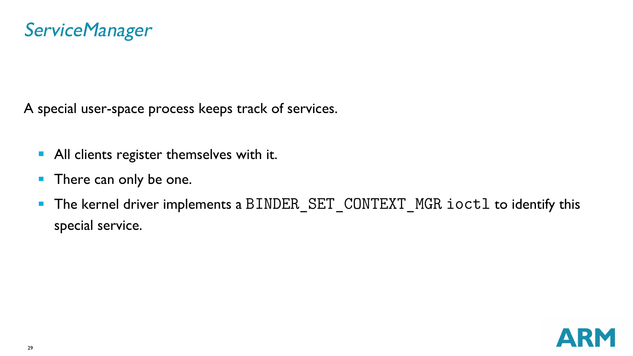A special user-space process keeps track of services.

- **All clients register themselves with it.**
- **There can only be one.**
- The kernel driver implements a BINDER\_SET\_CONTEXT\_MGR ioctl to identify this  $\mathcal{L}_{\mathcal{A}}$ special service.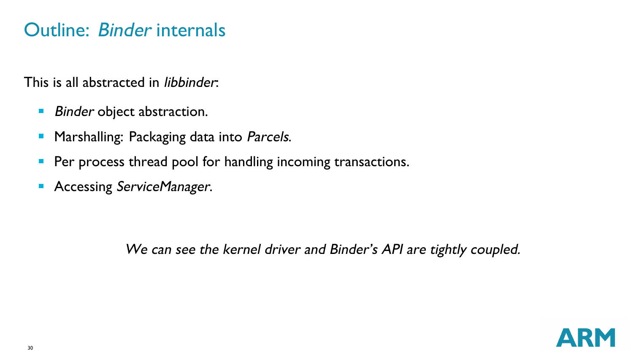#### Outline: Binder internals

This is all abstracted in libbinder:

- $\blacksquare$ Binder object abstraction.
- Marshalling: Packaging data into Parcels.  $\blacksquare$
- Per process thread pool for handling incoming transactions.  $\blacksquare$
- **Accessing ServiceManager.**

We can see the kernel driver and Binder's API are tightly coupled.

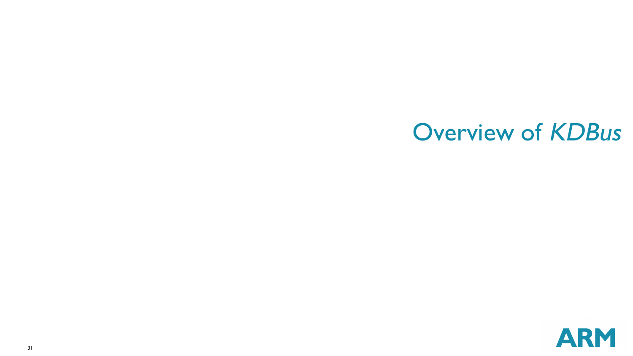# Overview of KDBus

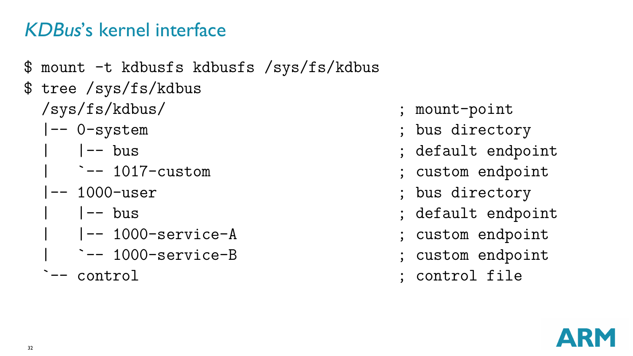# KDBus's kernel interface

- \$ mount -t kdbusfs kdbusfs /sys/fs/kdbus \$ tree /sys/fs/kdbus /sys/fs/kdbus/ ; mount-point |-- 0-system ; bus directory | |-- bus ; default endpoint | `-- 1017-custom ; custom endpoint |-- 1000-user ; bus directory | |-- bus ; default endpoint | |-- 1000-service-A ; custom endpoint
	- | `-- 1000-service-B ; custom endpoint
	-
- 
- 
- 
- 
- 
- 
- 
- 
- `-- control is control in the control file of  $\mathcal{L}$  is control file

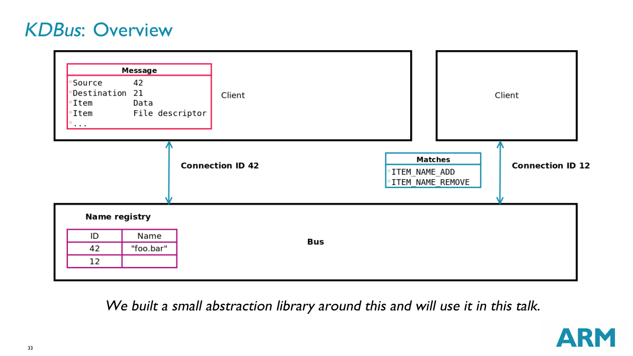#### KDBus: Overview



We built <sup>a</sup> small abstraction library around this and will use it in this talk.

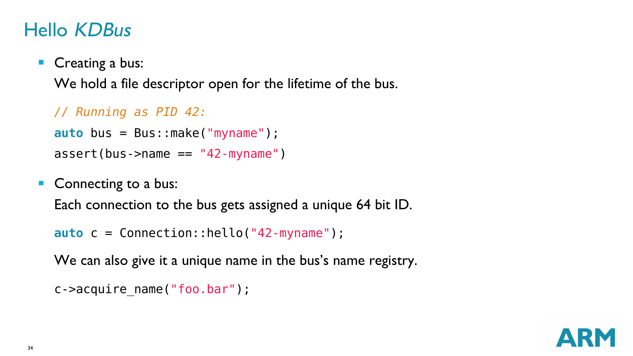### Hello KDBus

Creating a bus:

We hold a file descriptor open for the lifetime of the bus.

```
// Running as PID 42:
auto bus = Bus::make("myname");
assert(bus->name == "42-myname")
```
Connecting to a bus: Each connection to the bus gets assigned a unique 64 bit ID.

**auto** c = Connection::hello("42-myname");

We can also give it a unique name in the bus's name registry.

```
c->acquire_name("foo.bar");
```
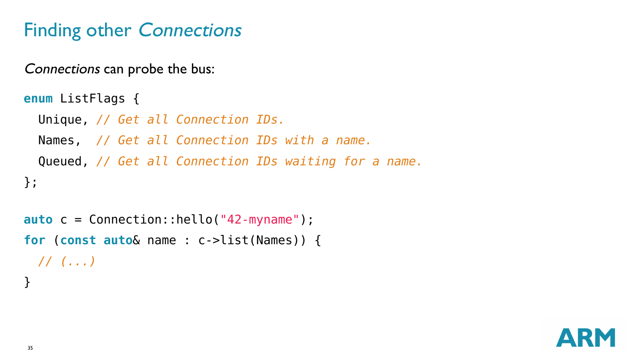# Finding other Connections

Connections can probe the bus:

```
enum ListFlags {
 Unique, // Get all Connection IDs.
 Names, // Get all Connection IDs with a name.
 Queued, // Get all Connection IDs waiting for a name.
};
```

```
auto c = Connection::hello("42-myname");
for (const auto& name : c->list(Names)) {
 // (...)
}
```
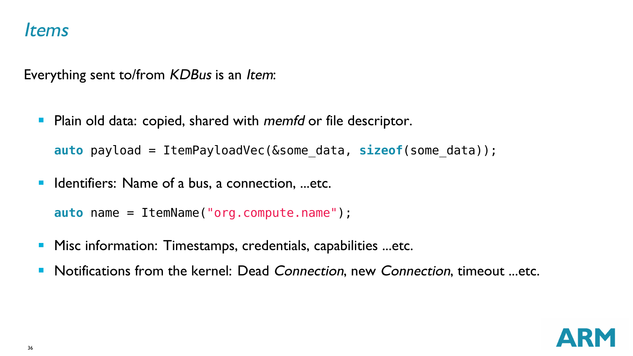#### Items

Everything sent to/from KDBus is an Item:

Plain old data: copied, shared with *memfd* or file descriptor.  $\mathcal{L}_{\mathcal{A}}$ 

**auto** payload = ItemPayloadVec(&some\_data, **sizeof**(some\_data));

■ Identifiers: Name of a bus, a connection, ...etc.

```
auto name = ItemName("org.compute.name");
```
- $\blacksquare$ Misc information: Timestamps, credentials, capabilities ...etc.
- Notifications from the kernel: Dead Connection, new Connection, timeout ...etc.  $\blacksquare$

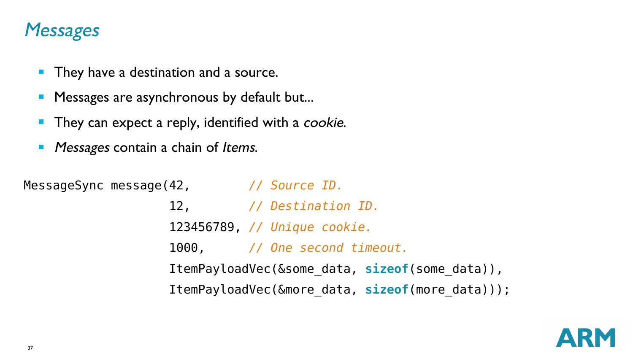#### **Messages**

- **They have a destination and a source.**
- **Messages are asynchronous by default but...**
- $\blacksquare$ They can expect a reply, identified with a *cookie*.
- Messages contain a chain of Items.  $\blacksquare$

MessageSync message(42, *// Source ID.*

12, *// Destination ID.* 123456789, *// Unique cookie.* 1000, *// One second timeout.* ItemPayloadVec(&some\_data, **sizeof**(some\_data)), ItemPayloadVec(&more\_data, **sizeof**(more\_data)));

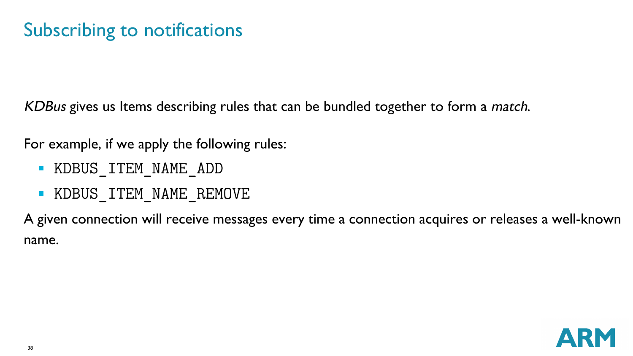# Subscribing to notifications

KDBus gives us Items describing rules that can be bundled together to form a match.

For example, if we apply the following rules:

- KDBUS\_ITEM\_NAME\_ADD
- **KDBUS ITEM NAME REMOVE**

A given connection will receive messages every time a connection acquires or releases a well-known name.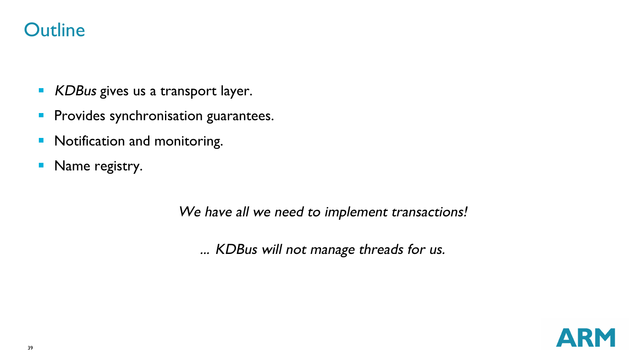#### **Outline**

- $\overline{\phantom{a}}$ KDBus gives us a transport layer.
- **Provides synchronisation guarantees.**
- **Notification and monitoring.**
- Name registry.

We have all we need to implement transactions!

... KDBus will not manage threads for us.

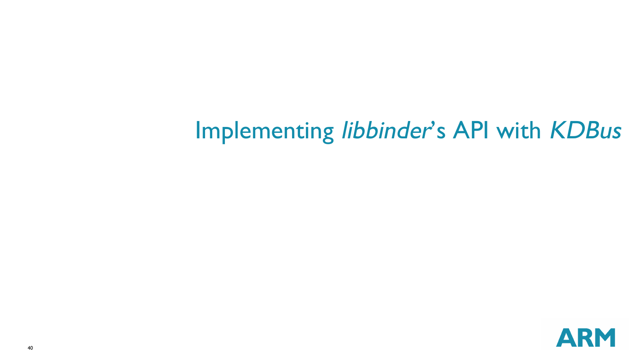# Implementing libbinder's API with KDBus

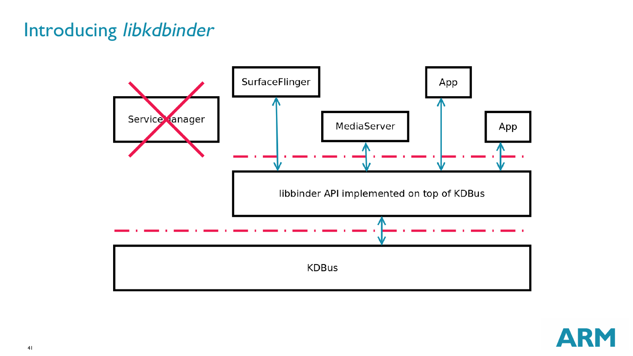### Introducing libkdbinder



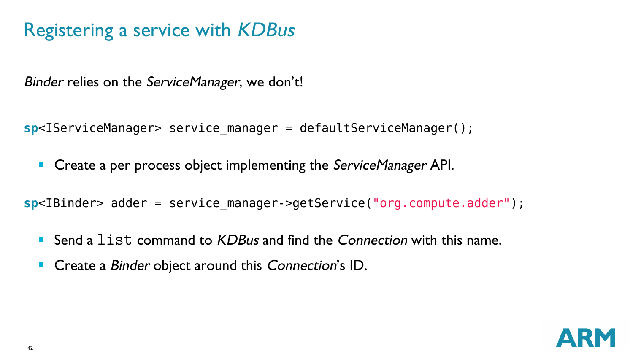# Registering a service with KDBus

Binder relies on the ServiceManager, we don't!

**sp**<IServiceManager> service\_manager = defaultServiceManager();

**Create a per process object implementing the ServiceManager API.** 

**sp**<IBinder> adder = service\_manager->getService("org.compute.adder");

- Send a list command to KDBus and find the Connection with this name.
- Create a Binder object around this Connection's ID.  $\blacksquare$

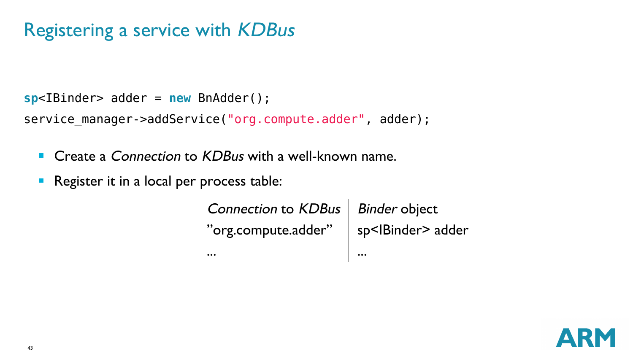# Registering a service with KDBus

```
sp<IBinder> adder = new BnAdder();
```
service manager->addService("org.compute.adder", adder);

■ Create a *Connection* to *KDBus* with a well-known name.

ż.

**Register it in a local per process table:** 

| Connection to KDBus   Binder object |                              |
|-------------------------------------|------------------------------|
| "org.compute.adder"                 | sp <lbinder> adder</lbinder> |
| $\ddotsc$                           | $\ddotsc$                    |

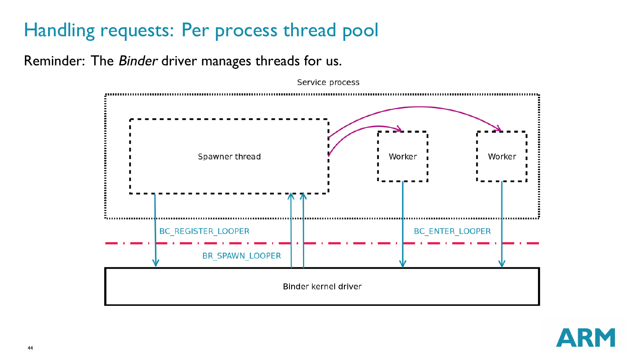# Handling requests: Per process thread pool

Reminder: The Binder driver manages threads for us.



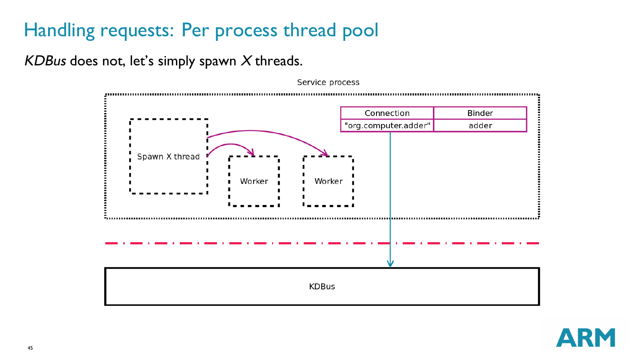# Handling requests: Per process thread pool

KDBus does not, let's simply spawn  $X$  threads.



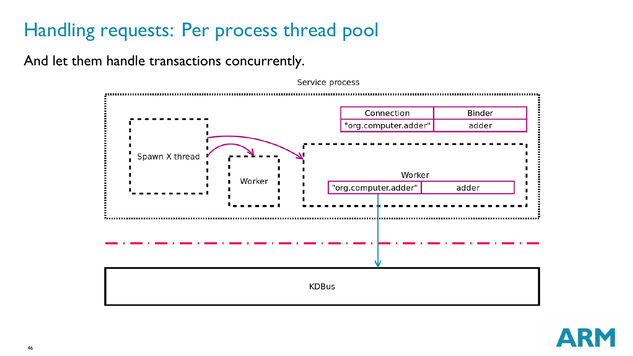# Handling requests: Per process thread pool

And let them handle transactions concurrently.



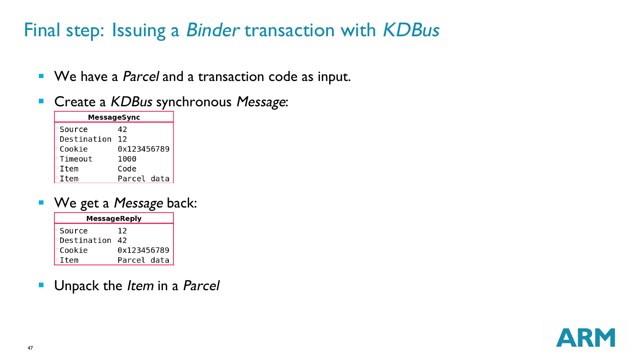# Final step: Issuing a Binder transaction with KDBus

- We have a *Parcel* and a transaction code as input.
- $\blacksquare$ Create a KDBus synchronous Message:

| MessageSync                |             |
|----------------------------|-------------|
| <sup>•</sup> Source        | 42          |
| <i><b>•Destination</b></i> | 12          |
| <b>Cookie</b>              | 0x123456789 |
| <b>Timeout</b>             | 1000        |
| $\circ$ Ttem               | Code        |
| $\circ$ Ttem               | Parcel data |

■ We get a *Message* back:

| MessageReply       |             |
|--------------------|-------------|
| Source             | 12          |
| <b>Oestination</b> | 42          |
| <b>Cookie</b>      | 0x123456789 |
| $\circ$ Item       | Parcel data |

Unpack the Item in a Parcel  $\overline{\phantom{a}}$ 

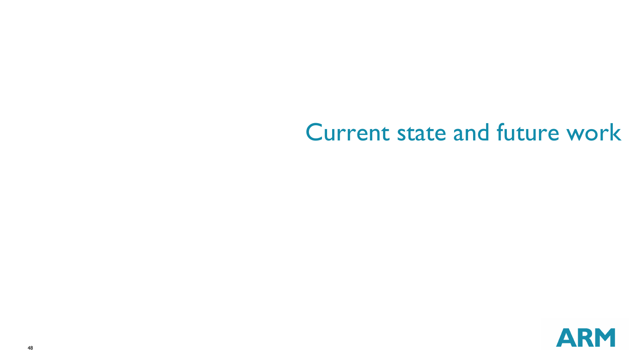# Current state and future work

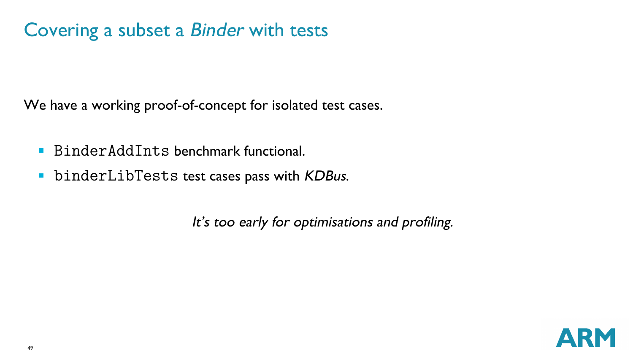# Covering a subset a Binder with tests

We have a working proof-of-concept for isolated test cases.

- BinderAddInts benchmark functional
- **binderLibTests test cases pass with KDBus.**

It's too early for optimisations and profiling.

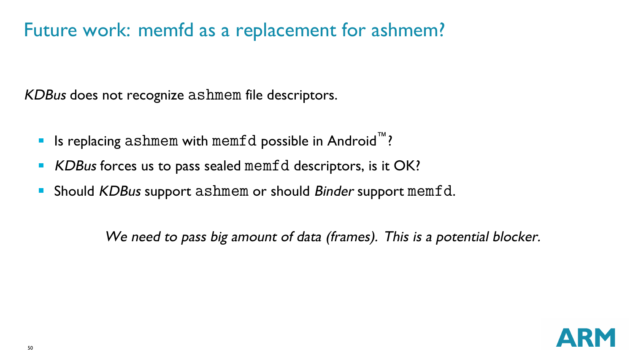# Future work: memfd as a replacement for ashmem?

KDBus does not recognize ashmem file descriptors.

- Is replacing ashmem with memfd possible in Android<sup>™</sup>?
- KDBus forces us to pass sealed memfd descriptors, is it OK? П
- Should KDBus support ashmem or should Binder support memfd.  $\blacksquare$

We need to pass big amount of data (frames). This is a potential blocker.

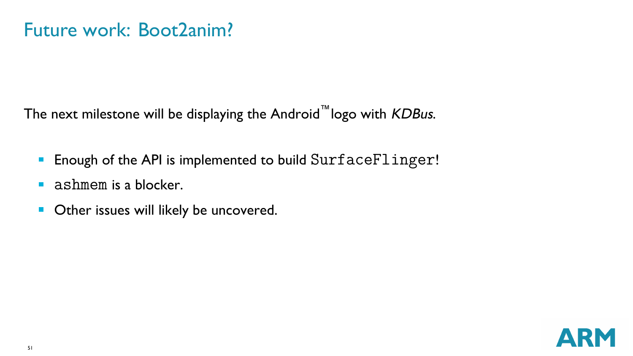The next milestone will be displaying the Android™logo with KDBus.

- **Enough of the API is implemented to build SurfaceFlinger!**
- ashmem is a blocker. п
- Other issues will likely be uncovered.  $\blacksquare$

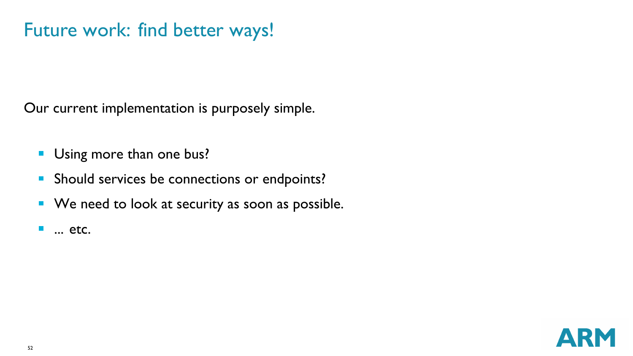# Future work: find better ways!

Our current implementation is purposely simple.

- Using more than one bus?
- **Should services be connections or endpoints?**
- We need to look at security as soon as possible.
- × ... etc.

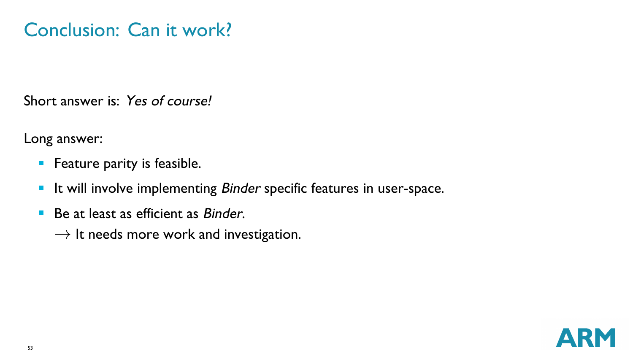# Conclusion: Can it work?

Short answer is: Yes of course!

Long answer:

- **Feature parity is feasible.**
- **If will involve implementing Binder specific features in user-space.**
- Be at least as efficient as *Binder*. m.
	- *→* It needs more work and investigation.

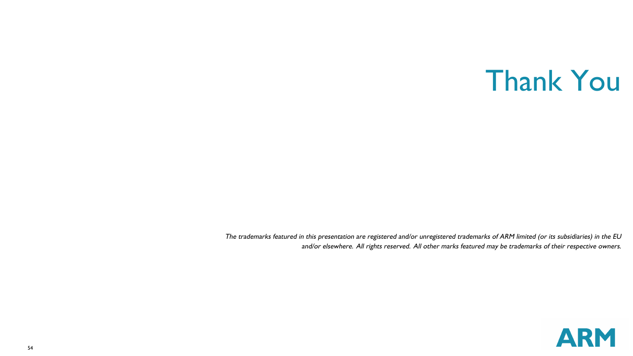# Thank You

The trademarks featured in this presentation are registered and/or unregistered trademarks of ARM limited (or its subsidiaries) in the EU and/or elsewhere. All rights reserved. All other marks featured may be trademarks of their respective owners.

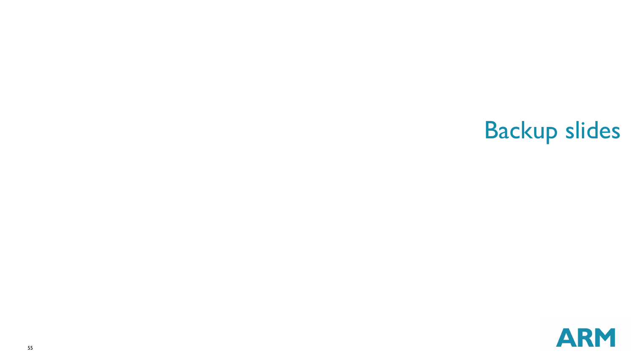# Backup slides

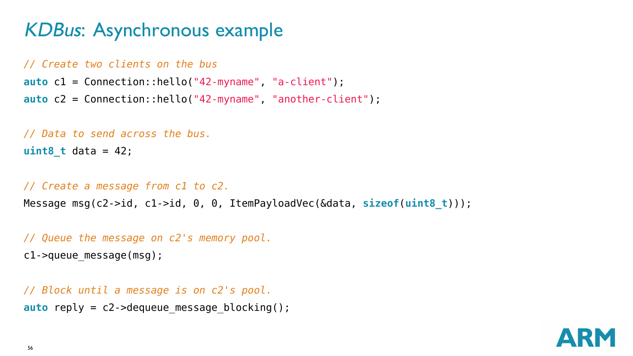### KDBus: Asynchronous example

```
// Create two clients on the bus
auto c1 = Connection::hello("42-myname", "a-client");
auto c2 = Connection::hello("42-myname", "another-client");
```

```
// Data to send across the bus.
uint8_t data = 42;
```

```
// Create a message from c1 to c2.
```

```
Message msg(c2->id, c1->id, 0, 0, ItemPayloadVec(&data, sizeof(uint8_t)));
```

```
// Queue the message on c2's memory pool.
c1->queue_message(msg);
```

```
// Block until a message is on c2's pool.
auto reply = c2->dequeue message blocking();
```
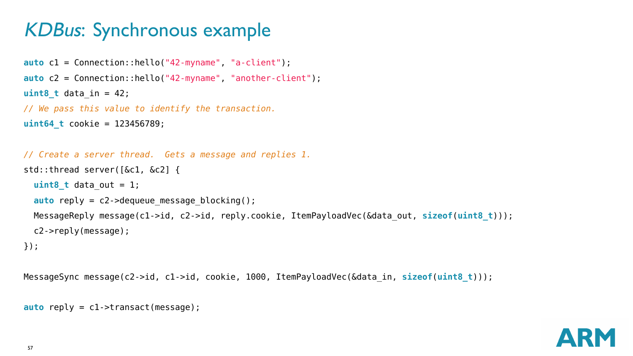# KDBus: Synchronous example

**auto** c1 = Connection::hello("42-myname", "a-client");

```
auto c2 = Connection::hello("42-myname", "another-client");
uint8 t data in = 42;
// We pass this value to identify the transaction.
uint64_t cookie = 123456789;
// Create a server thread. Gets a message and replies 1.
std::thread server([&c1, &c2] {
 uint8_t data_out = 1;
 auto reply = c2->dequeue message blocking();
 MessageReply message(c1->id, c2->id, reply.cookie, ItemPayloadVec(&data_out, sizeof(uint8_t)));
 c2->reply(message);
});
```
MessageSync message(c2->id, c1->id, cookie, 1000, ItemPayloadVec(&data\_in, **sizeof**(**uint8\_t**)));

```
auto reply = c1->transact(message);
```
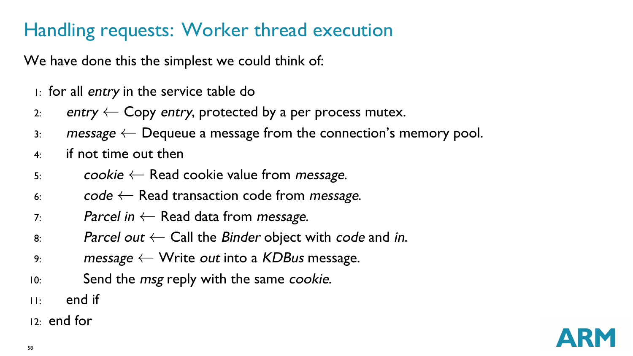# Handling requests: Worker thread execution

We have done this the simplest we could think of:

- 1: for all entry in the service table do
- 2: entry *←* Copy entry, protected by a per process mutex.
- 3: message *←* Dequeue a message from the connection's memory pool.
- 4: if not time out then
- 5: cookie *←* Read cookie value from message.
- 6: code *←* Read transaction code from message.
- 7: Parcel in *←* Read data from message.
- 8: Parcel out *←* Call the Binder object with code and in.
- 9: message *←* Write out into a KDBus message.
- 10: Send the *msg* reply with the same cookie.
- $11:$  end if
- 12: end for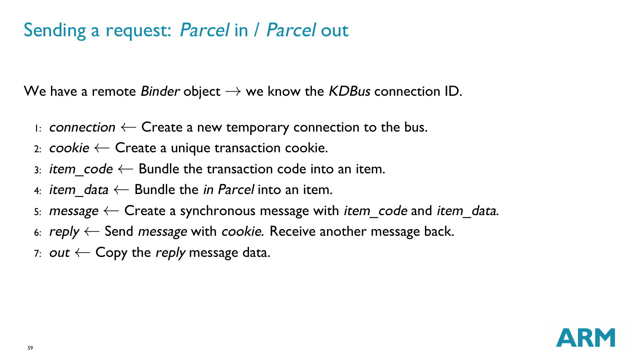# Sending a request: Parcel in / Parcel out

We have a remote Binder object *→* we know the KDBus connection ID.

- 1: connection *←* Create a new temporary connection to the bus.
- 2: cookie *←* Create a unique transaction cookie.
- 3: item\_code *←* Bundle the transaction code into an item.
- 4: item\_data *←* Bundle the in Parcel into an item.
- 5: message *←* Create a synchronous message with item\_code and item\_data.
- 6: reply *←* Send message with cookie. Receive another message back.
- 7: out *←* Copy the reply message data.

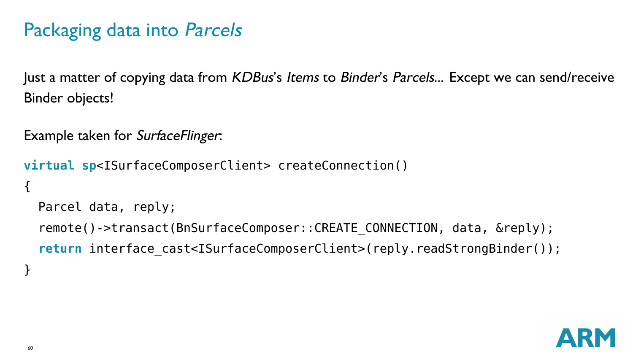# Packaging data into Parcels

Just a matter of copying data from KDBus's Items to Binder's Parcels... Except we can send/receive Binder objects!

```
Example taken for SurfaceFlinger:
```

```
virtual sp<ISurfaceComposerClient> createConnection()
{
  Parcel data, reply;
  remote()->transact(BnSurfaceComposer::CREATE_CONNECTION, data, &reply);
  return interface cast<ISurfaceComposerClient>(reply.readStrongBinder());
}
```
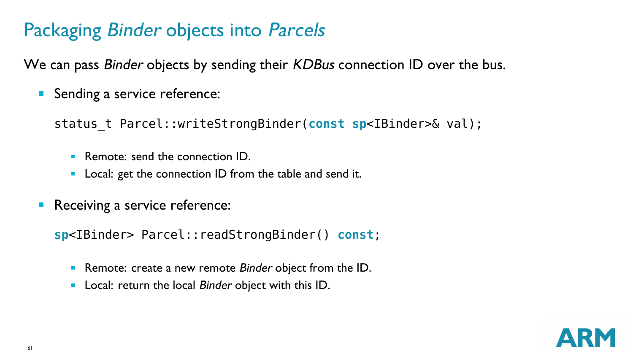#### Packaging Binder objects into Parcels

We can pass Binder objects by sending their KDBus connection ID over the bus.

Sending a service reference:  $\blacksquare$ 

status\_t Parcel::writeStrongBinder(**const sp**<IBinder>& val);

- Remote: send the connection ID.  $\mathbf{u}$
- Local: get the connection ID from the table and send it.
- $\mathcal{L}_{\mathcal{A}}$ Receiving a service reference:

**sp**<IBinder> Parcel::readStrongBinder() **const**;

- Remote: create a new remote Binder object from the ID.
- Local: return the local Binder object with this ID. m,

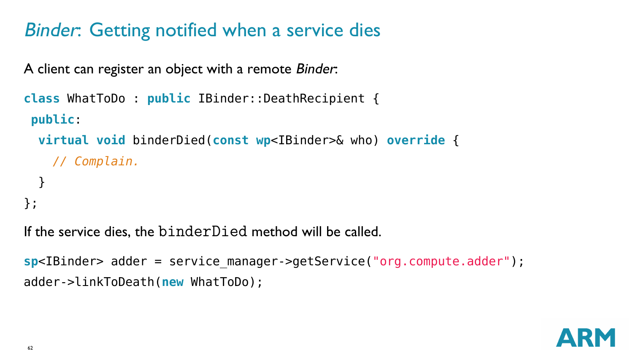# Binder: Getting notified when a service dies

A client can register an object with a remote Binder:

```
class WhatToDo : public IBinder::DeathRecipient {
 public:
  virtual void binderDied(const wp<IBinder>& who) override {
    // Complain.
  }
};
```
If the service dies, the binderDied method will be called.

```
sp<IBinder> adder = service_manager->getService("org.compute.adder");
adder->linkToDeath(new WhatToDo);
```